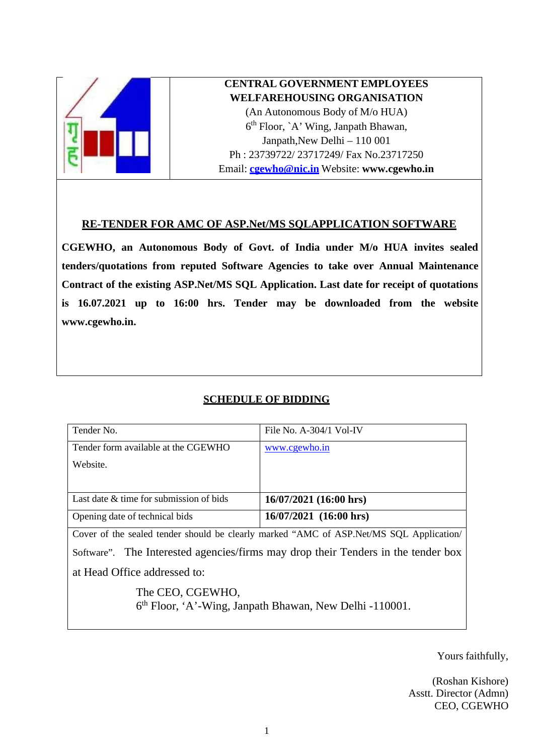

# **CENTRAL GOVERNMENT EMPLOYEES WELFAREHOUSING ORGANISATION**

(An Autonomous Body of M/o HUA) 6th Floor, `A' Wing, Janpath Bhawan, Janpath,New Delhi – 110 001 Ph : 23739722/ 23717249/ Fax No.23717250 Email: **[cgewho@nic.in](mailto:cgewho@nic.in)** Website: **[www.cgewho.in](http://www.cgewho.in/)**

## **RE-TENDER FOR AMC OF ASP.Net/MS SQLAPPLICATION SOFTWARE**

**CGEWHO, an Autonomous Body of Govt. of India under M/o HUA invites sealed tenders/quotations from reputed Software Agencies to take over Annual Maintenance Contract of the existing ASP.Net/MS SQL Application. Last date for receipt of quotations is 16.07.2021 up to 16:00 hrs. Tender may be downloaded from the website [www.cgewho.in.](http://www.cgewho.in/)**

# **SCHEDULE OF BIDDING**

| Tender No.                                                                              | File No. $A-304/1$ Vol-IV |  |
|-----------------------------------------------------------------------------------------|---------------------------|--|
| Tender form available at the CGEWHO                                                     | www.cgewho.in             |  |
| Website.                                                                                |                           |  |
|                                                                                         |                           |  |
| Last date & time for submission of bids                                                 | $16/07/2021$ (16:00 hrs)  |  |
| Opening date of technical bids                                                          | $16/07/2021$ (16:00 hrs)  |  |
| Cover of the sealed tender should be clearly marked "AMC of ASP. Net/MS SQL Application |                           |  |
| Software". The Interested agencies/firms may drop their Tenders in the tender box       |                           |  |
| at Head Office addressed to:                                                            |                           |  |
| The CEO, CGEWHO,<br>6 <sup>th</sup> Floor, 'A'-Wing, Janpath Bhawan, New Delhi -110001. |                           |  |

Yours faithfully,

(Roshan Kishore) Asstt. Director (Admn) CEO, CGEWHO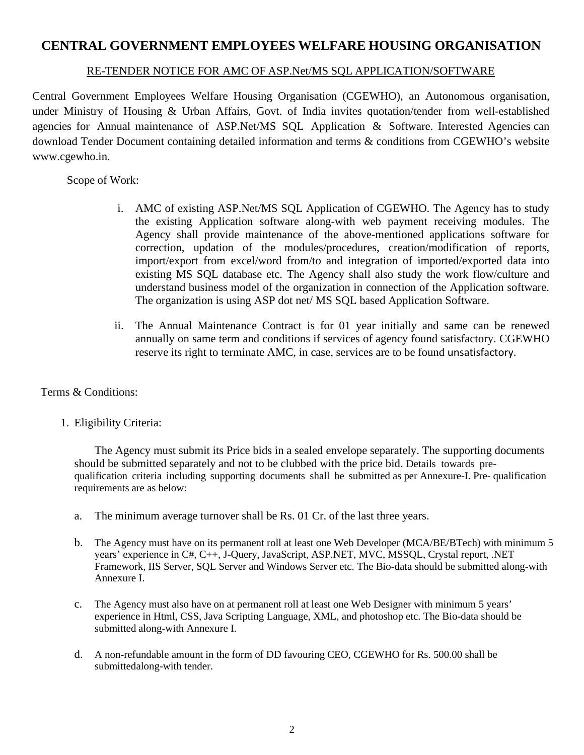# **CENTRAL GOVERNMENT EMPLOYEES WELFARE HOUSING ORGANISATION**

#### RE-TENDER NOTICE FOR AMC OF ASP.Net/MS SQL APPLICATION/SOFTWARE

Central Government Employees Welfare Housing Organisation (CGEWHO), an Autonomous organisation, under Ministry of Housing & Urban Affairs, Govt. of India invites quotation/tender from well-established agencies for Annual maintenance of ASP.Net/MS SQL Application & Software. Interested Agencies can download Tender Document containing detailed information and terms & conditions from CGEWHO's website [www.cgewho.in.](http://www.cgewho.in/)

Scope of Work:

- i. AMC of existing ASP.Net/MS SQL Application of CGEWHO. The Agency has to study the existing Application software along-with web payment receiving modules. The Agency shall provide maintenance of the above-mentioned applications software for correction, updation of the modules/procedures, creation/modification of reports, import/export from excel/word from/to and integration of imported/exported data into existing MS SQL database etc. The Agency shall also study the work flow/culture and understand business model of the organization in connection of the Application software. The organization is using ASP dot net/ MS SQL based Application Software.
- ii. The Annual Maintenance Contract is for 01 year initially and same can be renewed annually on same term and conditions if services of agency found satisfactory. CGEWHO reserve its right to terminate AMC, in case, services are to be found unsatisfactory.

#### Terms & Conditions:

1. Eligibility Criteria:

The Agency must submit its Price bids in a sealed envelope separately. The supporting documents should be submitted separately and not to be clubbed with the price bid. Details towards prequalification criteria including supporting documents shall be submitted as per Annexure-I. Pre- qualification requirements are as below:

- a. The minimum average turnover shall be Rs. 01 Cr. of the last three years.
- b. The Agency must have on its permanent roll at least one Web Developer (MCA/BE/BTech) with minimum 5 years' experience in C#, C++, J-Query, JavaScript, ASP.NET, MVC, MSSQL, Crystal report, .NET Framework, IIS Server, SQL Server and Windows Server etc. The Bio-data should be submitted along-with Annexure I.
- c. The Agency must also have on at permanent roll at least one Web Designer with minimum 5 years' experience in Html, CSS, Java Scripting Language, XML, and photoshop etc. The Bio-data should be submitted along-with Annexure I.
- d. A non-refundable amount in the form of DD favouring CEO, CGEWHO for Rs. 500.00 shall be submittedalong-with tender.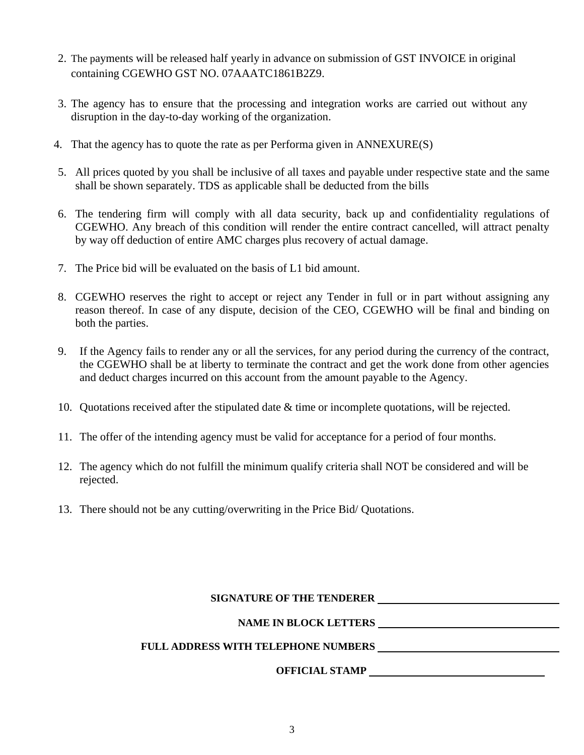- 2. The payments will be released half yearly in advance on submission of GST INVOICE in original containing CGEWHO GST NO. 07AAATC1861B2Z9.
- 3. The agency has to ensure that the processing and integration works are carried out without any disruption in the day-to-day working of the organization.
- 4. That the agency has to quote the rate as per Performa given in ANNEXURE(S)
- 5. All prices quoted by you shall be inclusive of all taxes and payable under respective state and the same shall be shown separately. TDS as applicable shall be deducted from the bills
- 6. The tendering firm will comply with all data security, back up and confidentiality regulations of CGEWHO. Any breach of this condition will render the entire contract cancelled, will attract penalty by way off deduction of entire AMC charges plus recovery of actual damage.
- 7. The Price bid will be evaluated on the basis of L1 bid amount.
- 8. CGEWHO reserves the right to accept or reject any Tender in full or in part without assigning any reason thereof. In case of any dispute, decision of the CEO, CGEWHO will be final and binding on both the parties.
- 9. If the Agency fails to render any or all the services, for any period during the currency of the contract, the CGEWHO shall be at liberty to terminate the contract and get the work done from other agencies and deduct charges incurred on this account from the amount payable to the Agency.
- 10. Quotations received after the stipulated date & time or incomplete quotations, will be rejected.
- 11. The offer of the intending agency must be valid for acceptance for a period of four months.
- 12. The agency which do not fulfill the minimum qualify criteria shall NOT be considered and will be rejected.
- 13. There should not be any cutting/overwriting in the Price Bid/ Quotations.

#### **SIGNATURE OF THE TENDERER**

#### **NAME IN BLOCK LETTERS**

#### **FULL ADDRESS WITH TELEPHONE NUMBERS**

## **OFFICIAL STAMP**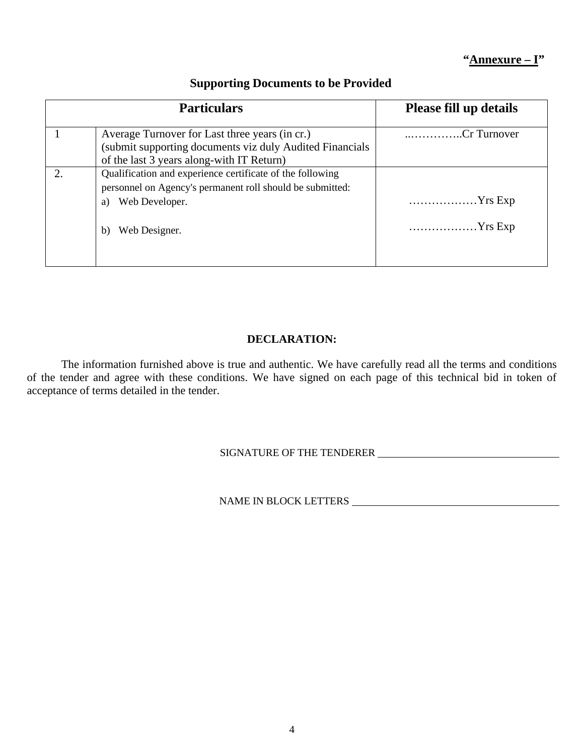## **"Annexure – I"**

| <b>Particulars</b>                                                                                                                                                    | <b>Please fill up details</b>        |
|-----------------------------------------------------------------------------------------------------------------------------------------------------------------------|--------------------------------------|
| Average Turnover for Last three years (in cr.)<br>(submit supporting documents viz duly Audited Financials<br>of the last 3 years along-with IT Return)               | Cr Turnover                          |
| Qualification and experience certificate of the following<br>personnel on Agency's permanent roll should be submitted:<br>Web Developer.<br>a)<br>Web Designer.<br>b) | $\ldots$ Yrs Exp<br>$\ldots$ Yrs Exp |

## **Supporting Documents to be Provided**

#### **DECLARATION:**

The information furnished above is true and authentic. We have carefully read all the terms and conditions of the tender and agree with these conditions. We have signed on each page of this technical bid in token of acceptance of terms detailed in the tender.

# SIGNATURE OF THE TENDERER

NAME IN BLOCK LETTERS